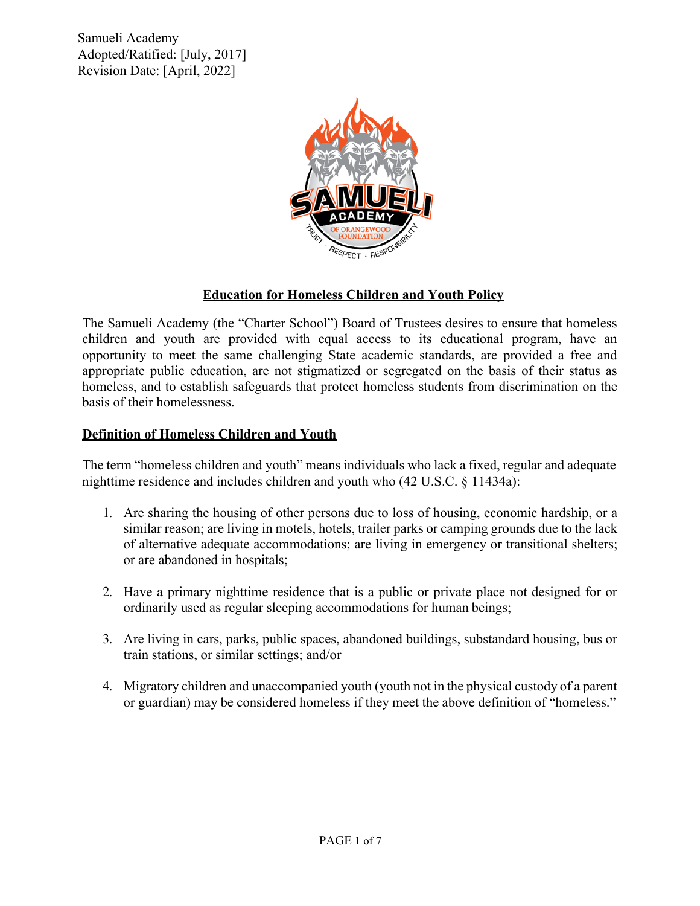

# **Education for Homeless Children and Youth Policy**

The Samueli Academy (the "Charter School") Board of Trustees desires to ensure that homeless children and youth are provided with equal access to its educational program, have an opportunity to meet the same challenging State academic standards, are provided a free and appropriate public education, are not stigmatized or segregated on the basis of their status as homeless, and to establish safeguards that protect homeless students from discrimination on the basis of their homelessness.

# **Definition of Homeless Children and Youth**

The term "homeless children and youth" means individuals who lack a fixed, regular and adequate nighttime residence and includes children and youth who (42 U.S.C. § 11434a):

- 1. Are sharing the housing of other persons due to loss of housing, economic hardship, or a similar reason; are living in motels, hotels, trailer parks or camping grounds due to the lack of alternative adequate accommodations; are living in emergency or transitional shelters; or are abandoned in hospitals;
- 2. Have a primary nighttime residence that is a public or private place not designed for or ordinarily used as regular sleeping accommodations for human beings;
- 3. Are living in cars, parks, public spaces, abandoned buildings, substandard housing, bus or train stations, or similar settings; and/or
- 4. Migratory children and unaccompanied youth (youth not in the physical custody of a parent or guardian) may be considered homeless if they meet the above definition of "homeless."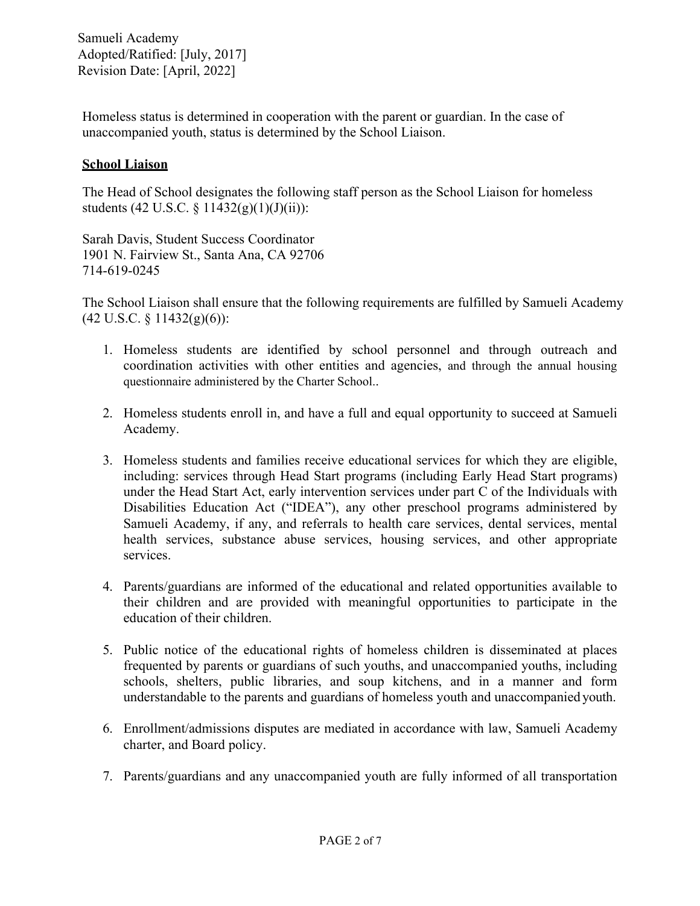Homeless status is determined in cooperation with the parent or guardian. In the case of unaccompanied youth, status is determined by the School Liaison.

# **School Liaison**

The Head of School designates the following staff person as the School Liaison for homeless students (42 U.S.C. § 11432(g)(1)(J)(ii)):

Sarah Davis, Student Success Coordinator 1901 N. Fairview St., Santa Ana, CA 92706 714-619-0245

The School Liaison shall ensure that the following requirements are fulfilled by Samueli Academy  $(42 \text{ U.S.C. } § 11432(g)(6))$ :

- 1. Homeless students are identified by school personnel and through outreach and coordination activities with other entities and agencies, and through the annual housing questionnaire administered by the Charter School..
- 2. Homeless students enroll in, and have a full and equal opportunity to succeed at Samueli Academy.
- 3. Homeless students and families receive educational services for which they are eligible, including: services through Head Start programs (including Early Head Start programs) under the Head Start Act, early intervention services under part C of the Individuals with Disabilities Education Act ("IDEA"), any other preschool programs administered by Samueli Academy, if any, and referrals to health care services, dental services, mental health services, substance abuse services, housing services, and other appropriate services.
- 4. Parents/guardians are informed of the educational and related opportunities available to their children and are provided with meaningful opportunities to participate in the education of their children.
- 5. Public notice of the educational rights of homeless children is disseminated at places frequented by parents or guardians of such youths, and unaccompanied youths, including schools, shelters, public libraries, and soup kitchens, and in a manner and form understandable to the parents and guardians of homeless youth and unaccompanied youth.
- 6. Enrollment/admissions disputes are mediated in accordance with law, Samueli Academy charter, and Board policy.
- 7. Parents/guardians and any unaccompanied youth are fully informed of all transportation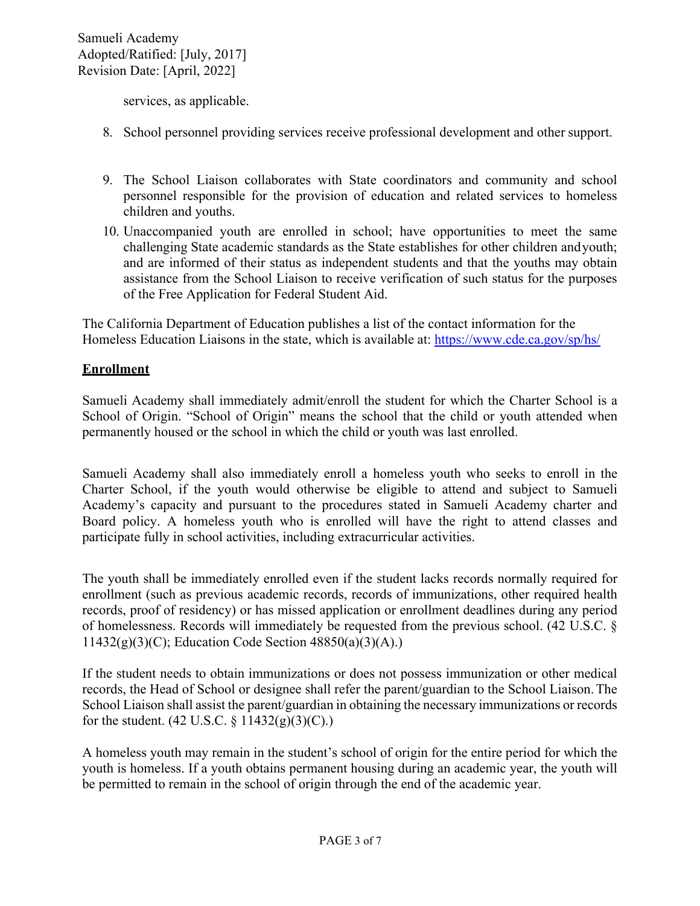services, as applicable.

- 8. School personnel providing services receive professional development and other support.
- 9. The School Liaison collaborates with State coordinators and community and school personnel responsible for the provision of education and related services to homeless children and youths.
- 10. Unaccompanied youth are enrolled in school; have opportunities to meet the same challenging State academic standards as the State establishes for other children andyouth; and are informed of their status as independent students and that the youths may obtain assistance from the School Liaison to receive verification of such status for the purposes of the Free Application for Federal Student Aid.

The California Department of Education publishes a list of the contact information for the Homeless Education Liaisons in the state, which is available at:<https://www.cde.ca.gov/sp/hs/>

# **Enrollment**

Samueli Academy shall immediately admit/enroll the student for which the Charter School is a School of Origin. "School of Origin" means the school that the child or youth attended when permanently housed or the school in which the child or youth was last enrolled.

Samueli Academy shall also immediately enroll a homeless youth who seeks to enroll in the Charter School, if the youth would otherwise be eligible to attend and subject to Samueli Academy's capacity and pursuant to the procedures stated in Samueli Academy charter and Board policy. A homeless youth who is enrolled will have the right to attend classes and participate fully in school activities, including extracurricular activities.

The youth shall be immediately enrolled even if the student lacks records normally required for enrollment (such as previous academic records, records of immunizations, other required health records, proof of residency) or has missed application or enrollment deadlines during any period of homelessness. Records will immediately be requested from the previous school. (42 U.S.C. §  $11432(g)(3)(C)$ ; Education Code Section 48850(a)(3)(A).)

If the student needs to obtain immunizations or does not possess immunization or other medical records, the Head of School or designee shall refer the parent/guardian to the School Liaison.The School Liaison shall assist the parent/guardian in obtaining the necessary immunizations or records for the student.  $(42 \text{ U.S.C.} \S 11432(g)(3)(C))$ .

A homeless youth may remain in the student's school of origin for the entire period for which the youth is homeless. If a youth obtains permanent housing during an academic year, the youth will be permitted to remain in the school of origin through the end of the academic year.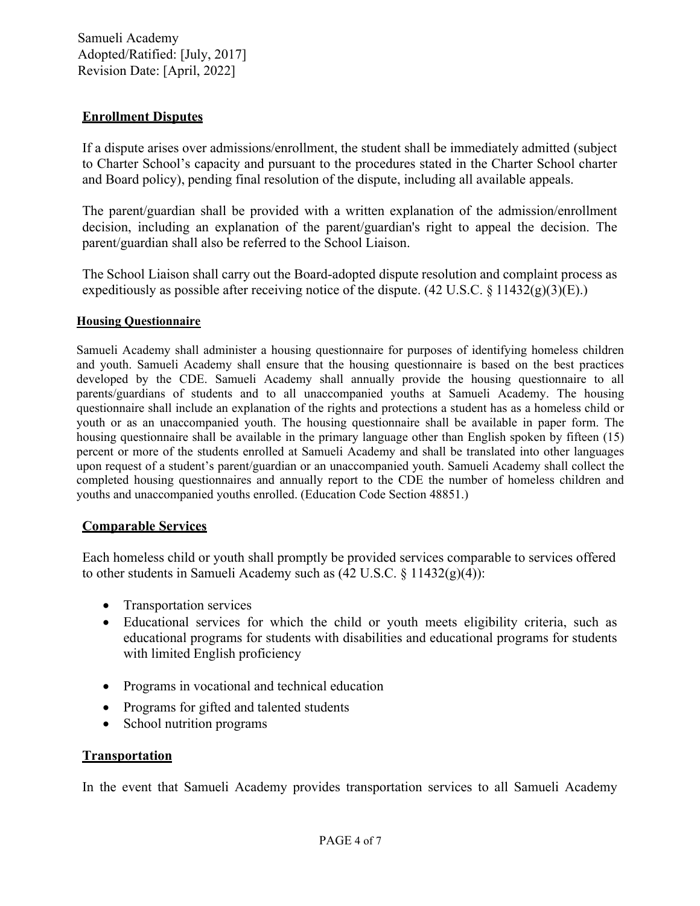# **Enrollment Disputes**

If a dispute arises over admissions/enrollment, the student shall be immediately admitted (subject to Charter School's capacity and pursuant to the procedures stated in the Charter School charter and Board policy), pending final resolution of the dispute, including all available appeals.

The parent/guardian shall be provided with a written explanation of the admission/enrollment decision, including an explanation of the parent/guardian's right to appeal the decision. The parent/guardian shall also be referred to the School Liaison.

The School Liaison shall carry out the Board-adopted dispute resolution and complaint process as expeditiously as possible after receiving notice of the dispute. (42 U.S.C. § 11432(g)(3)(E).)

### **Housing Questionnaire**

Samueli Academy shall administer a housing questionnaire for purposes of identifying homeless children and youth. Samueli Academy shall ensure that the housing questionnaire is based on the best practices developed by the CDE. Samueli Academy shall annually provide the housing questionnaire to all parents/guardians of students and to all unaccompanied youths at Samueli Academy. The housing questionnaire shall include an explanation of the rights and protections a student has as a homeless child or youth or as an unaccompanied youth. The housing questionnaire shall be available in paper form. The housing questionnaire shall be available in the primary language other than English spoken by fifteen (15) percent or more of the students enrolled at Samueli Academy and shall be translated into other languages upon request of a student's parent/guardian or an unaccompanied youth. Samueli Academy shall collect the completed housing questionnaires and annually report to the CDE the number of homeless children and youths and unaccompanied youths enrolled. (Education Code Section 48851.)

# **Comparable Services**

Each homeless child or youth shall promptly be provided services comparable to services offered to other students in Samueli Academy such as  $(42 \text{ U.S.C.} \S 11432(g)(4))$ :

- Transportation services
- Educational services for which the child or youth meets eligibility criteria, such as educational programs for students with disabilities and educational programs for students with limited English proficiency
- Programs in vocational and technical education
- Programs for gifted and talented students
- School nutrition programs

# **Transportation**

In the event that Samueli Academy provides transportation services to all Samueli Academy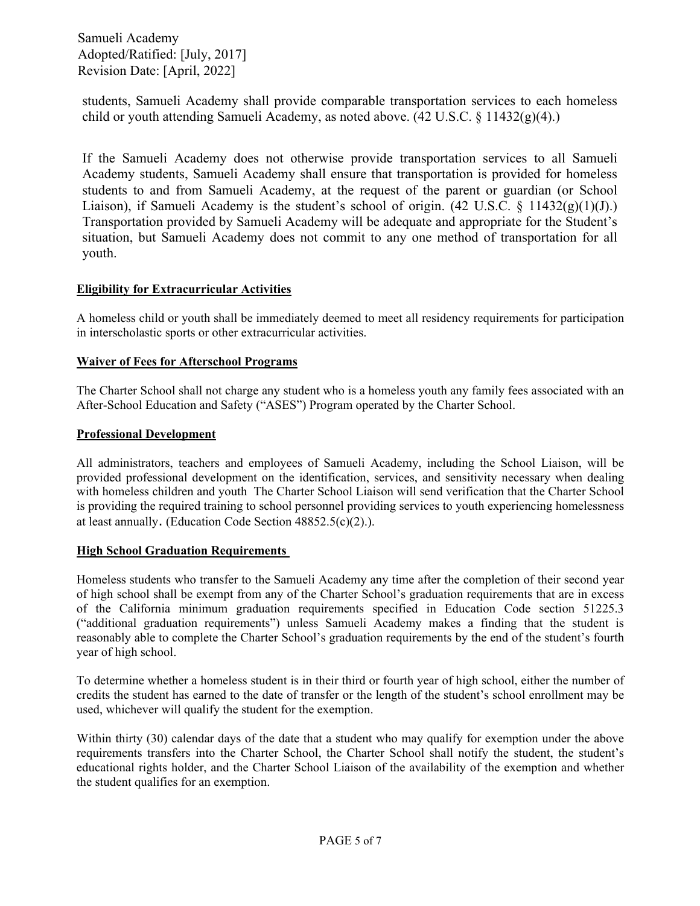students, Samueli Academy shall provide comparable transportation services to each homeless child or youth attending Samueli Academy, as noted above. (42 U.S.C. § 11432(g)(4).)

If the Samueli Academy does not otherwise provide transportation services to all Samueli Academy students, Samueli Academy shall ensure that transportation is provided for homeless students to and from Samueli Academy, at the request of the parent or guardian (or School Liaison), if Samueli Academy is the student's school of origin.  $(42 \text{ U.S.C. } § 11432(g)(1)(J))$ . Transportation provided by Samueli Academy will be adequate and appropriate for the Student's situation, but Samueli Academy does not commit to any one method of transportation for all youth.

## **Eligibility for Extracurricular Activities**

A homeless child or youth shall be immediately deemed to meet all residency requirements for participation in interscholastic sports or other extracurricular activities.

### **Waiver of Fees for Afterschool Programs**

The Charter School shall not charge any student who is a homeless youth any family fees associated with an After-School Education and Safety ("ASES") Program operated by the Charter School.

### **Professional Development**

All administrators, teachers and employees of Samueli Academy, including the School Liaison, will be provided professional development on the identification, services, and sensitivity necessary when dealing with homeless children and youth The Charter School Liaison will send verification that the Charter School is providing the required training to school personnel providing services to youth experiencing homelessness at least annually. (Education Code Section 48852.5(c)(2).).

### **High School Graduation Requirements**

Homeless students who transfer to the Samueli Academy any time after the completion of their second year of high school shall be exempt from any of the Charter School's graduation requirements that are in excess of the California minimum graduation requirements specified in Education Code section 51225.3 ("additional graduation requirements") unless Samueli Academy makes a finding that the student is reasonably able to complete the Charter School's graduation requirements by the end of the student's fourth year of high school.

To determine whether a homeless student is in their third or fourth year of high school, either the number of credits the student has earned to the date of transfer or the length of the student's school enrollment may be used, whichever will qualify the student for the exemption.

Within thirty (30) calendar days of the date that a student who may qualify for exemption under the above requirements transfers into the Charter School, the Charter School shall notify the student, the student's educational rights holder, and the Charter School Liaison of the availability of the exemption and whether the student qualifies for an exemption.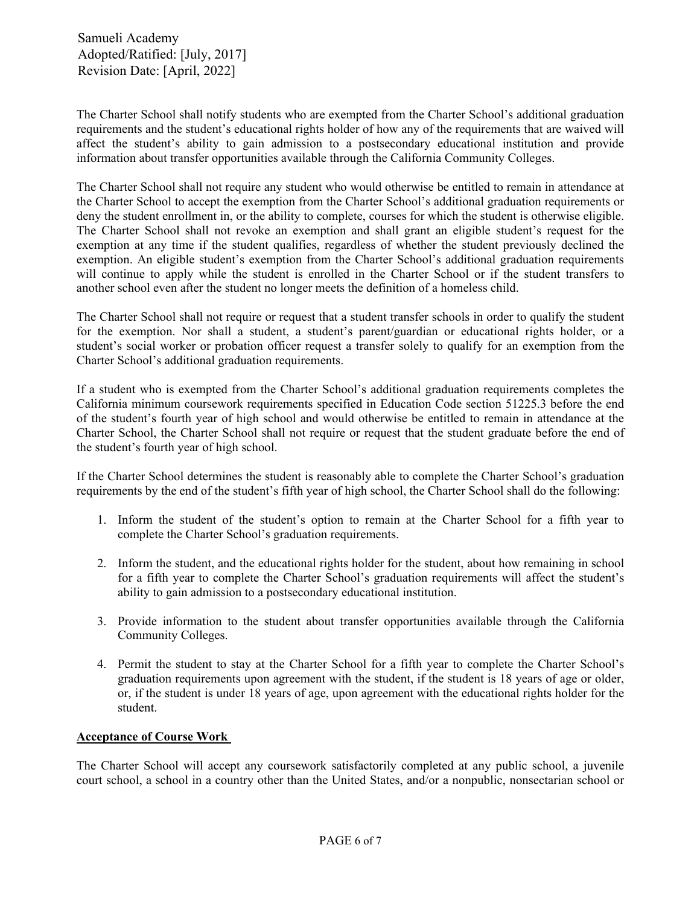The Charter School shall notify students who are exempted from the Charter School's additional graduation requirements and the student's educational rights holder of how any of the requirements that are waived will affect the student's ability to gain admission to a postsecondary educational institution and provide information about transfer opportunities available through the California Community Colleges.

The Charter School shall not require any student who would otherwise be entitled to remain in attendance at the Charter School to accept the exemption from the Charter School's additional graduation requirements or deny the student enrollment in, or the ability to complete, courses for which the student is otherwise eligible. The Charter School shall not revoke an exemption and shall grant an eligible student's request for the exemption at any time if the student qualifies, regardless of whether the student previously declined the exemption. An eligible student's exemption from the Charter School's additional graduation requirements will continue to apply while the student is enrolled in the Charter School or if the student transfers to another school even after the student no longer meets the definition of a homeless child.

The Charter School shall not require or request that a student transfer schools in order to qualify the student for the exemption. Nor shall a student, a student's parent/guardian or educational rights holder, or a student's social worker or probation officer request a transfer solely to qualify for an exemption from the Charter School's additional graduation requirements.

If a student who is exempted from the Charter School's additional graduation requirements completes the California minimum coursework requirements specified in Education Code section 51225.3 before the end of the student's fourth year of high school and would otherwise be entitled to remain in attendance at the Charter School, the Charter School shall not require or request that the student graduate before the end of the student's fourth year of high school.

If the Charter School determines the student is reasonably able to complete the Charter School's graduation requirements by the end of the student's fifth year of high school, the Charter School shall do the following:

- 1. Inform the student of the student's option to remain at the Charter School for a fifth year to complete the Charter School's graduation requirements.
- 2. Inform the student, and the educational rights holder for the student, about how remaining in school for a fifth year to complete the Charter School's graduation requirements will affect the student's ability to gain admission to a postsecondary educational institution.
- 3. Provide information to the student about transfer opportunities available through the California Community Colleges.
- 4. Permit the student to stay at the Charter School for a fifth year to complete the Charter School's graduation requirements upon agreement with the student, if the student is 18 years of age or older, or, if the student is under 18 years of age, upon agreement with the educational rights holder for the student.

#### **Acceptance of Course Work**

The Charter School will accept any coursework satisfactorily completed at any public school, a juvenile court school, a school in a country other than the United States, and/or a nonpublic, nonsectarian school or